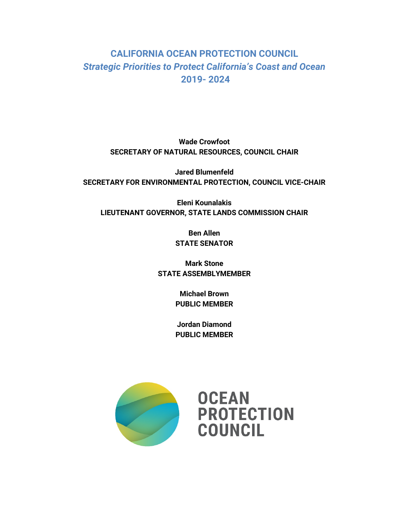# **CALIFORNIA OCEAN PROTECTION COUNCIL** *Strategic Priorities to Protect California's Coast and Ocean* **2019- 2024**

**Wade Crowfoot SECRETARY OF NATURAL RESOURCES, COUNCIL CHAIR**

**Jared Blumenfeld SECRETARY FOR ENVIRONMENTAL PROTECTION, COUNCIL VICE-CHAIR**

**Eleni Kounalakis LIEUTENANT GOVERNOR, STATE LANDS COMMISSION CHAIR**

> **Ben Allen STATE SENATOR**

**Mark Stone STATE ASSEMBLYMEMBER**

> **Michael Brown PUBLIC MEMBER**

> **Jordan Diamond PUBLIC MEMBER**

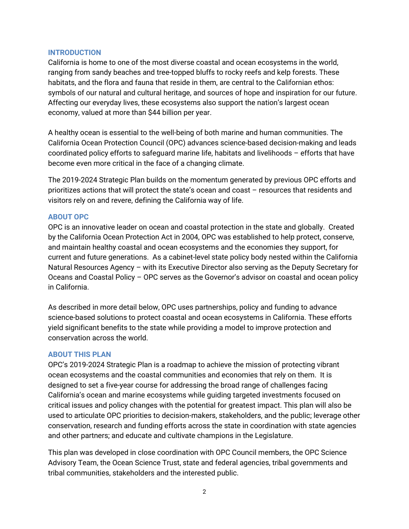#### **INTRODUCTION**

California is home to one of the most diverse coastal and ocean ecosystems in the world, ranging from sandy beaches and tree-topped bluffs to rocky reefs and kelp forests. These habitats, and the flora and fauna that reside in them, are central to the Californian ethos: symbols of our natural and cultural heritage, and sources of hope and inspiration for our future. Affecting our everyday lives, these ecosystems also support the nation's largest ocean economy, valued at more than \$44 billion per year.

A healthy ocean is essential to the well-being of both marine and human communities. The California Ocean Protection Council (OPC) advances science-based decision-making and leads coordinated policy efforts to safeguard marine life, habitats and livelihoods – efforts that have become even more critical in the face of a changing climate.

The 2019-2024 Strategic Plan builds on the momentum generated by previous OPC efforts and prioritizes actions that will protect the state's ocean and coast – resources that residents and visitors rely on and revere, defining the California way of life.

#### **ABOUT OPC**

OPC is an innovative leader on ocean and coastal protection in the state and globally. Created by the California Ocean Protection Act in 2004, OPC was established to help protect, conserve, and maintain healthy coastal and ocean ecosystems and the economies they support, for current and future generations. As a cabinet-level state policy body nested within the California Natural Resources Agency – with its Executive Director also serving as the Deputy Secretary for Oceans and Coastal Policy – OPC serves as the Governor's advisor on coastal and ocean policy in California.

As described in more detail below, OPC uses partnerships, policy and funding to advance science-based solutions to protect coastal and ocean ecosystems in California. These efforts yield significant benefits to the state while providing a model to improve protection and conservation across the world.

#### **ABOUT THIS PLAN**

OPC's 2019-2024 Strategic Plan is a roadmap to achieve the mission of protecting vibrant ocean ecosystems and the coastal communities and economies that rely on them. It is designed to set a five-year course for addressing the broad range of challenges facing California's ocean and marine ecosystems while guiding targeted investments focused on critical issues and policy changes with the potential for greatest impact. This plan will also be used to articulate OPC priorities to decision-makers, stakeholders, and the public; leverage other conservation, research and funding efforts across the state in coordination with state agencies and other partners; and educate and cultivate champions in the Legislature.

This plan was developed in close coordination with OPC Council members, the OPC Science Advisory Team, the Ocean Science Trust, state and federal agencies, tribal governments and tribal communities, stakeholders and the interested public.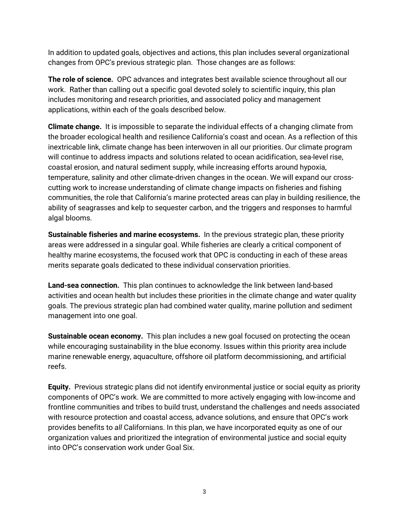In addition to updated goals, objectives and actions, this plan includes several organizational changes from OPC's previous strategic plan. Those changes are as follows:

**The role of science.** OPC advances and integrates best available science throughout all our work. Rather than calling out a specific goal devoted solely to scientific inquiry, this plan includes monitoring and research priorities, and associated policy and management applications, within each of the goals described below.

**Climate change.** It is impossible to separate the individual effects of a changing climate from the broader ecological health and resilience California's coast and ocean. As a reflection of this inextricable link, climate change has been interwoven in all our priorities. Our climate program will continue to address impacts and solutions related to ocean acidification, sea-level rise, coastal erosion, and natural sediment supply, while increasing efforts around hypoxia, temperature, salinity and other climate-driven changes in the ocean. We will expand our crosscutting work to increase understanding of climate change impacts on fisheries and fishing communities, the role that California's marine protected areas can play in building resilience, the ability of seagrasses and kelp to sequester carbon, and the triggers and responses to harmful algal blooms.

**Sustainable fisheries and marine ecosystems.** In the previous strategic plan, these priority areas were addressed in a singular goal. While fisheries are clearly a critical component of healthy marine ecosystems, the focused work that OPC is conducting in each of these areas merits separate goals dedicated to these individual conservation priorities.

**Land-sea connection.** This plan continues to acknowledge the link between land-based activities and ocean health but includes these priorities in the climate change and water quality goals. The previous strategic plan had combined water quality, marine pollution and sediment management into one goal.

**Sustainable ocean economy.** This plan includes a new goal focused on protecting the ocean while encouraging sustainability in the blue economy. Issues within this priority area include marine renewable energy, aquaculture, offshore oil platform decommissioning, and artificial reefs.

**Equity.** Previous strategic plans did not identify environmental justice or social equity as priority components of OPC's work. We are committed to more actively engaging with low-income and frontline communities and tribes to build trust, understand the challenges and needs associated with resource protection and coastal access, advance solutions, and ensure that OPC's work provides benefits to *all* Californians. In this plan, we have incorporated equity as one of our organization values and prioritized the integration of environmental justice and social equity into OPC's conservation work under Goal Six.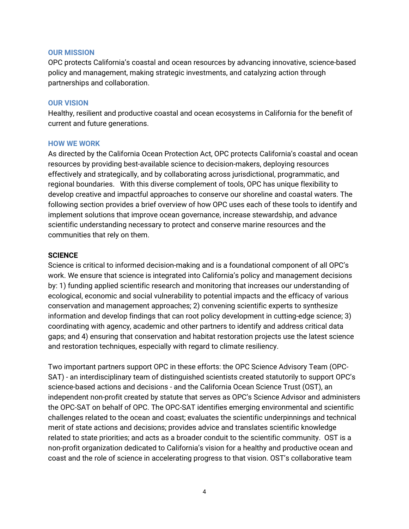#### **OUR MISSION**

OPC protects California's coastal and ocean resources by advancing innovative, science-based policy and management, making strategic investments, and catalyzing action through partnerships and collaboration.

#### **OUR VISION**

Healthy, resilient and productive coastal and ocean ecosystems in California for the benefit of current and future generations.

#### **HOW WE WORK**

As directed by the California Ocean Protection Act, OPC protects California's coastal and ocean resources by providing best-available science to decision-makers, deploying resources effectively and strategically, and by collaborating across jurisdictional, programmatic, and regional boundaries. With this diverse complement of tools, OPC has unique flexibility to develop creative and impactful approaches to conserve our shoreline and coastal waters. The following section provides a brief overview of how OPC uses each of these tools to identify and implement solutions that improve ocean governance, increase stewardship, and advance scientific understanding necessary to protect and conserve marine resources and the communities that rely on them.

#### **SCIENCE**

Science is critical to informed decision-making and is a foundational component of all OPC's work. We ensure that science is integrated into California's policy and management decisions by: 1) funding applied scientific research and monitoring that increases our understanding of ecological, economic and social vulnerability to potential impacts and the efficacy of various conservation and management approaches; 2) convening scientific experts to synthesize information and develop findings that can root policy development in cutting-edge science; 3) coordinating with agency, academic and other partners to identify and address critical data gaps; and 4) ensuring that conservation and habitat restoration projects use the latest science and restoration techniques, especially with regard to climate resiliency.

Two important partners support OPC in these efforts: the OPC Science Advisory Team (OPC-SAT) - an interdisciplinary team of distinguished scientists created statutorily to support OPC's science-based actions and decisions - and the California Ocean Science Trust (OST), an independent non-profit created by statute that serves as OPC's Science Advisor and administers the OPC-SAT on behalf of OPC. The OPC-SAT identifies emerging environmental and scientific challenges related to the ocean and coast; evaluates the scientific underpinnings and technical merit of state actions and decisions; provides advice and translates scientific knowledge related to state priorities; and acts as a broader conduit to the scientific community. OST is a non-profit organization dedicated to California's vision for a healthy and productive ocean and coast and the role of science in accelerating progress to that vision. OST's collaborative team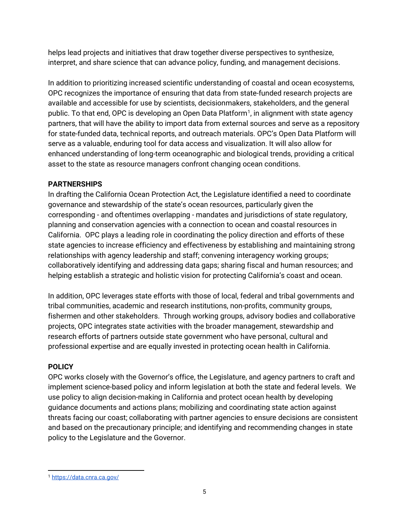helps lead projects and initiatives that draw together diverse perspectives to synthesize, interpret, and share science that can advance policy, funding, and management decisions.

In addition to prioritizing increased scientific understanding of coastal and ocean ecosystems, OPC recognizes the importance of ensuring that data from state-funded research projects are available and accessible for use by scientists, decisionmakers, stakeholders, and the general public. To that end, OPC is developing an Open Data Platform<sup>1</sup>, in alignment with state agency partners, that will have the ability to import data from external sources and serve as a repository for state-funded data, technical reports, and outreach materials. OPC's Open Data Platform will serve as a valuable, enduring tool for data access and visualization. It will also allow for enhanced understanding of long-term oceanographic and biological trends, providing a critical asset to the state as resource managers confront changing ocean conditions.

### **PARTNERSHIPS**

In drafting the California Ocean Protection Act, the Legislature identified a need to coordinate governance and stewardship of the state's ocean resources, particularly given the corresponding - and oftentimes overlapping - mandates and jurisdictions of state regulatory, planning and conservation agencies with a connection to ocean and coastal resources in California. OPC plays a leading role in coordinating the policy direction and efforts of these state agencies to increase efficiency and effectiveness by establishing and maintaining strong relationships with agency leadership and staff; convening interagency working groups; collaboratively identifying and addressing data gaps; sharing fiscal and human resources; and helping establish a strategic and holistic vision for protecting California's coast and ocean.

In addition, OPC leverages state efforts with those of local, federal and tribal governments and tribal communities, academic and research institutions, non-profits, community groups, fishermen and other stakeholders. Through working groups, advisory bodies and collaborative projects, OPC integrates state activities with the broader management, stewardship and research efforts of partners outside state government who have personal, cultural and professional expertise and are equally invested in protecting ocean health in California.

#### **POLICY**

OPC works closely with the Governor's office, the Legislature, and agency partners to craft and implement science-based policy and inform legislation at both the state and federal levels. We use policy to align decision-making in California and protect ocean health by developing guidance documents and actions plans; mobilizing and coordinating state action against threats facing our coast; collaborating with partner agencies to ensure decisions are consistent and based on the precautionary principle; and identifying and recommending changes in state policy to the Legislature and the Governor.

<span id="page-4-0"></span> $\ddot{\phantom{a}}$ <sup>1</sup> <https://data.cnra.ca.gov/>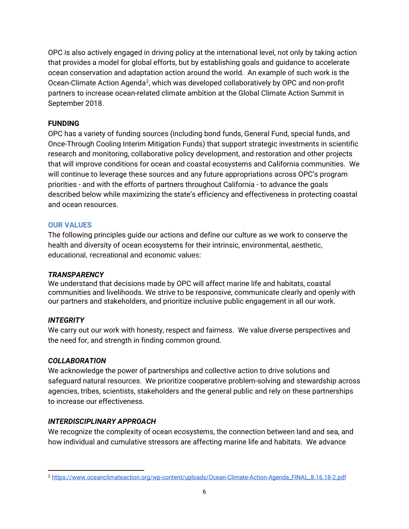OPC is also actively engaged in driving policy at the international level, not only by taking action that provides a model for global efforts, but by establishing goals and guidance to accelerate ocean conservation and adaptation action around the world. An example of such work is the Ocean-Climate Action Agenda<sup>[2](#page-5-0)</sup>, which was developed collaboratively by OPC and non-profit partners to increase ocean-related climate ambition at the Global Climate Action Summit in September 2018.

#### **FUNDING**

OPC has a variety of funding sources (including bond funds, General Fund, special funds, and Once-Through Cooling Interim Mitigation Funds) that support strategic investments in scientific research and monitoring, collaborative policy development, and restoration and other projects that will improve conditions for ocean and coastal ecosystems and California communities. We will continue to leverage these sources and any future appropriations across OPC's program priorities - and with the efforts of partners throughout California - to advance the goals described below while maximizing the state's efficiency and effectiveness in protecting coastal and ocean resources.

### **OUR VALUES**

The following principles guide our actions and define our culture as we work to conserve the health and diversity of ocean ecosystems for their intrinsic, environmental, aesthetic, educational, recreational and economic values:

#### *TRANSPARENCY*

We understand that decisions made by OPC will affect marine life and habitats, coastal communities and livelihoods. We strive to be responsive, communicate clearly and openly with our partners and stakeholders, and prioritize inclusive public engagement in all our work.

### *INTEGRITY*

We carry out our work with honesty, respect and fairness. We value diverse perspectives and the need for, and strength in finding common ground.

#### *COLLABORATION*

We acknowledge the power of partnerships and collective action to drive solutions and safeguard natural resources. We prioritize cooperative problem-solving and stewardship across agencies, tribes, scientists, stakeholders and the general public and rely on these partnerships to increase our effectiveness.

### *INTERDISCIPLINARY APPROACH*

We recognize the complexity of ocean ecosystems, the connection between land and sea, and how individual and cumulative stressors are affecting marine life and habitats. We advance

<span id="page-5-0"></span> $\ddot{\phantom{a}}$ <sup>2</sup> [https://www.oceanclimateaction.org/wp-content/uploads/Ocean-Climate-Action-Agenda\\_FINAL\\_8.16.18-2.pdf](https://www.oceanclimateaction.org/wp-content/uploads/Ocean-Climate-Action-Agenda_FINAL_8.16.18-2.pdf)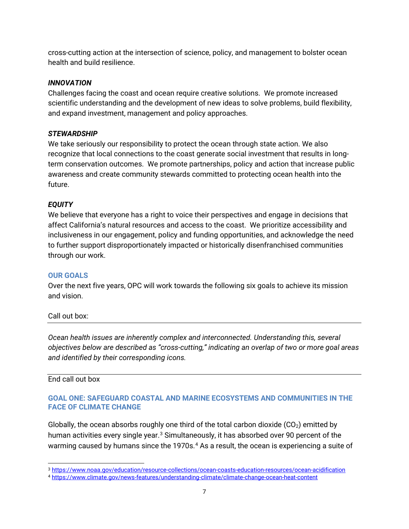cross-cutting action at the intersection of science, policy, and management to bolster ocean health and build resilience.

#### *INNOVATION*

Challenges facing the coast and ocean require creative solutions. We promote increased scientific understanding and the development of new ideas to solve problems, build flexibility, and expand investment, management and policy approaches.

### *STEWARDSHIP*

We take seriously our responsibility to protect the ocean through state action. We also recognize that local connections to the coast generate social investment that results in longterm conservation outcomes. We promote partnerships, policy and action that increase public awareness and create community stewards committed to protecting ocean health into the future.

### *EQUITY*

We believe that everyone has a right to voice their perspectives and engage in decisions that affect California's natural resources and access to the coast. We prioritize accessibility and inclusiveness in our engagement, policy and funding opportunities, and acknowledge the need to further support disproportionately impacted or historically disenfranchised communities through our work.

#### **OUR GOALS**

Over the next five years, OPC will work towards the following six goals to achieve its mission and vision.

### Call out box:

*Ocean health issues are inherently complex and interconnected. Understanding this, several objectives below are described as "cross-cutting," indicating an overlap of two or more goal areas and identified by their corresponding icons.*

### End call out box

### **GOAL ONE: SAFEGUARD COASTAL AND MARINE ECOSYSTEMS AND COMMUNITIES IN THE FACE OF CLIMATE CHANGE**

Globally, the ocean absorbs roughly one third of the total carbon dioxide  $(CO<sub>2</sub>)$  emitted by human activities every single year.<sup>[3](#page-6-0)</sup> Simultaneously, it has absorbed over 90 percent of the warming caused by humans since the 1970s.<sup>[4](#page-6-1)</sup> As a result, the ocean is experiencing a suite of

<span id="page-6-0"></span> $\ddot{\phantom{a}}$ <sup>3</sup> <https://www.noaa.gov/education/resource-collections/ocean-coasts-education-resources/ocean-acidification>

<span id="page-6-1"></span><sup>4</sup> <https://www.climate.gov/news-features/understanding-climate/climate-change-ocean-heat-content>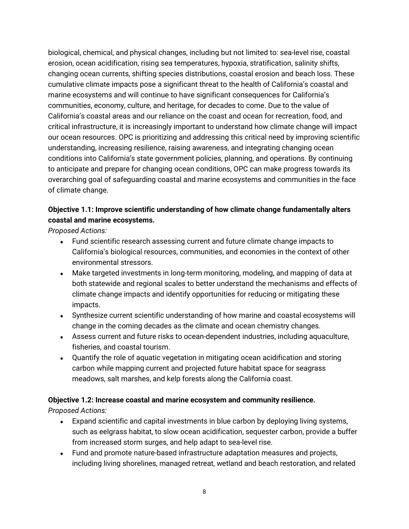biological, chemical, and physical changes, including but not limited to: sea-level rise, coastal erosion, ocean acidification, rising sea temperatures, hypoxia, stratification, salinity shifts, changing ocean currents, shifting species distributions, coastal erosion and beach loss. These cumulative climate impacts pose a significant threat to the health of California's coastal and marine ecosystems and will continue to have significant consequences for California's communities, economy, culture, and heritage, for decades to come. Due to the value of California's coastal areas and our reliance on the coast and ocean for recreation, food, and critical infrastructure, it is increasingly important to understand how climate change will impact our ocean resources. OPC is prioritizing and addressing this critical need by improving scientific understanding, increasing resilience, raising awareness, and integrating changing ocean conditions into California's state government policies, planning, and operations. By continuing to anticipate and prepare for changing ocean conditions, OPC can make progress towards its overarching goal of safeguarding coastal and marine ecosystems and communities in the face of climate change.

### **Objective 1.1: Improve scientific understanding of how climate change fundamentally alters coastal and marine ecosystems.**

*Proposed Actions:*

- Fund scientific research assessing current and future climate change impacts to California's biological resources, communities, and economies in the context of other environmental stressors.
- Make targeted investments in long-term monitoring, modeling, and mapping of data at both statewide and regional scales to better understand the mechanisms and effects of climate change impacts and identify opportunities for reducing or mitigating these impacts.
- Synthesize current scientific understanding of how marine and coastal ecosystems will change in the coming decades as the climate and ocean chemistry changes.
- Assess current and future risks to ocean-dependent industries, including aquaculture, fisheries, and coastal tourism.
- Quantify the role of aquatic vegetation in mitigating ocean acidification and storing carbon while mapping current and projected future habitat space for seagrass meadows, salt marshes, and kelp forests along the California coast.

### **Objective 1.2: Increase coastal and marine ecosystem and community resilience.**

- Expand scientific and capital investments in blue carbon by deploying living systems, such as eelgrass habitat, to slow ocean acidification, sequester carbon, provide a buffer from increased storm surges, and help adapt to sea-level rise.
- Fund and promote nature-based infrastructure adaptation measures and projects, including living shorelines, managed retreat, wetland and beach restoration, and related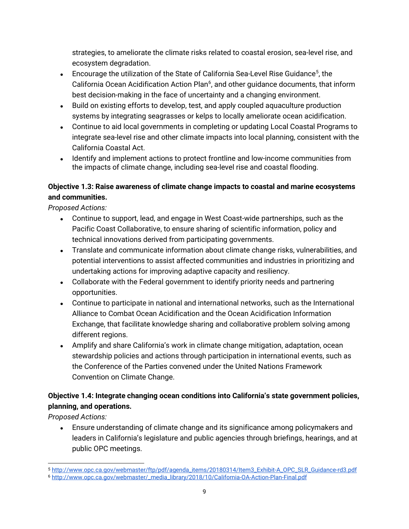strategies, to ameliorate the climate risks related to coastal erosion, sea-level rise, and ecosystem degradation.

- Encourage the utilization of the State of California Sea-Level Rise Guidance<sup>[5](#page-8-0)</sup>, the California Ocean Acidification Action Plan<sup>[6](#page-8-1)</sup>, and other guidance documents, that inform best decision-making in the face of uncertainty and a changing environment.
- Build on existing efforts to develop, test, and apply coupled aquaculture production systems by integrating seagrasses or kelps to locally ameliorate ocean acidification.
- Continue to aid local governments in completing or updating [Local Coastal Programs t](https://www.coastal.ca.gov/lcps.html)o integrate sea-level rise and other climate impacts into local planning, consistent with the California Coastal Act.
- Identify and implement actions to protect frontline and low-income communities from the impacts of climate change, including sea-level rise and coastal flooding.

## **Objective 1.3: Raise awareness of climate change impacts to coastal and marine ecosystems and communities.**

*Proposed Actions:*

- Continue to support, lead, and engage in West Coast-wide partnerships, such as the Pacific Coast Collaborative, to ensure sharing of scientific information, policy and technical innovations derived from participating governments.
- Translate and communicate information about climate change risks, vulnerabilities, and potential interventions to assist affected communities and industries in prioritizing and undertaking actions for improving adaptive capacity and resiliency.
- Collaborate with the Federal government to identify priority needs and partnering opportunities.
- Continue to participate in national and international networks, such as the International Alliance to Combat Ocean Acidification and the Ocean Acidification Information Exchange, that facilitate knowledge sharing and collaborative problem solving among different regions.
- Amplify and share California's work in climate change mitigation, adaptation, ocean stewardship policies and actions through participation in international events, such as the Conference of the Parties convened under the United Nations Framework Convention on Climate Change.

## **Objective 1.4: Integrate changing ocean conditions into California's state government policies, planning, and operations.**

*Proposed Actions:*

Ensure understanding of climate change and its significance among policymakers and leaders in California's legislature and public agencies through briefings, hearings, and at public OPC meetings.

<span id="page-8-1"></span><span id="page-8-0"></span> $\ddot{\phantom{a}}$ <sup>5</sup> [http://www.opc.ca.gov/webmaster/ftp/pdf/agenda\\_items/20180314/Item3\\_Exhibit-A\\_OPC\\_SLR\\_Guidance-rd3.pdf](http://www.opc.ca.gov/webmaster/ftp/pdf/agenda_items/20180314/Item3_Exhibit-A_OPC_SLR_Guidance-rd3.pdf) <sup>6</sup> [http://www.opc.ca.gov/webmaster/\\_media\\_library/2018/10/California-OA-Action-Plan-Final.pdf](http://www.opc.ca.gov/webmaster/_media_library/2018/10/California-OA-Action-Plan-Final.pdf)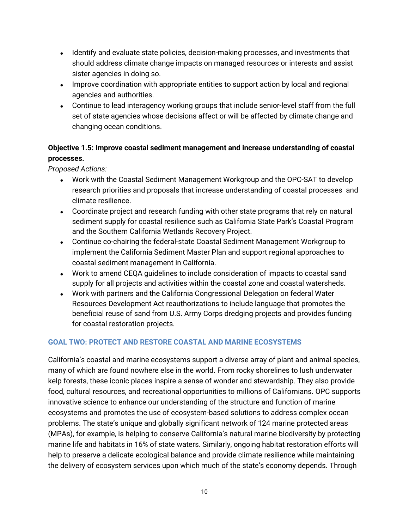- Identify and evaluate state policies, decision-making processes, and investments that should address climate change impacts on managed resources or interests and assist sister agencies in doing so.
- Improve coordination with appropriate entities to support action by local and regional agencies and authorities.
- Continue to lead interagency working groups that include senior-level staff from the full set of state agencies whose decisions affect or will be affected by climate change and changing ocean conditions.

## **Objective 1.5: Improve coastal sediment management and increase understanding of coastal processes.**

*Proposed Actions:*

- Work with the Coastal Sediment Management Workgroup and the OPC-SAT to develop research priorities and proposals that increase understanding of coastal processes and climate resilience.
- Coordinate project and research funding with other state programs that rely on natural sediment supply for coastal resilience such as California State Park's Coastal Program and the Southern California Wetlands Recovery Project.
- Continue co-chairing the federal-state Coastal Sediment Management Workgroup to implement the California Sediment Master Plan and support regional approaches to coastal sediment management in California.
- Work to amend CEQA guidelines to include consideration of impacts to coastal sand supply for all projects and activities within the coastal zone and coastal watersheds.
- Work with partners and the California Congressional Delegation on federal Water Resources Development Act reauthorizations to include language that promotes the beneficial reuse of sand from U.S. Army Corps dredging projects and provides funding for coastal restoration projects.

### **GOAL TWO: PROTECT AND RESTORE COASTAL AND MARINE ECOSYSTEMS**

California's coastal and marine ecosystems support a diverse array of plant and animal species, many of which are found nowhere else in the world. From rocky shorelines to lush underwater kelp forests, these iconic places inspire a sense of wonder and stewardship. They also provide food, cultural resources, and recreational opportunities to millions of Californians. OPC supports innovative science to enhance our understanding of the structure and function of marine ecosystems and promotes the use of ecosystem-based solutions to address complex ocean problems. The state's unique and globally significant network of 124 marine protected areas (MPAs), for example, is helping to conserve California's natural marine biodiversity by protecting marine life and habitats in 16% of state waters. Similarly, ongoing habitat restoration efforts will help to preserve a delicate ecological balance and provide climate resilience while maintaining the delivery of ecosystem services upon which much of the state's economy depends. Through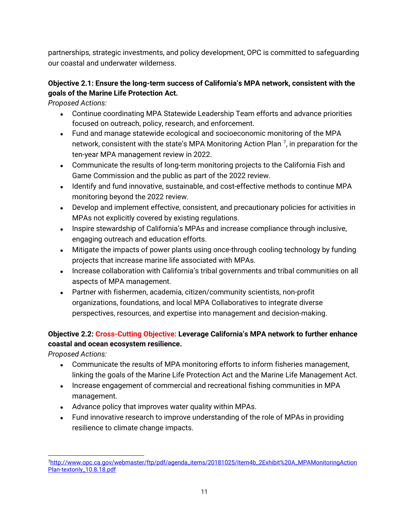partnerships, strategic investments, and policy development, OPC is committed to safeguarding our coastal and underwater wilderness.

### **Objective 2.1: Ensure the long-term success of California's MPA network, consistent with the goals of the Marine Life Protection Act.**

*Proposed Actions:*

- Continue coordinating MPA Statewide Leadership Team efforts and advance priorities focused on outreach, policy, research, and enforcement.
- Fund and manage statewide ecological and socioeconomic monitoring of the MPA network, consistent with the state's MPA Monitoring Action Plan  $^7$  $^7$ , in preparation for the ten-year MPA management review in 2022.
- Communicate the results of long-term monitoring projects to the California Fish and Game Commission and the public as part of the 2022 review.
- Identify and fund innovative, sustainable, and cost-effective methods to continue MPA monitoring beyond the 2022 review.
- Develop and implement effective, consistent, and precautionary policies for activities in MPAs not explicitly covered by existing regulations.
- Inspire stewardship of California's MPAs and increase compliance through inclusive, engaging outreach and education efforts.
- Mitigate the impacts of power plants using once-through cooling technology by funding projects that increase marine life associated with MPAs.
- Increase collaboration with California's tribal governments and tribal communities on all aspects of MPA management.
- Partner with fishermen, academia, citizen/community scientists, non-profit organizations, foundations, and local MPA Collaboratives to integrate diverse perspectives, resources, and expertise into management and decision-making.

## **Objective 2.2: Cross-Cutting Objective: Leverage California's MPA network to further enhance coastal and ocean ecosystem resilience.**

- Communicate the results of MPA monitoring efforts to inform fisheries management, linking the goals of the Marine Life Protection Act and the Marine Life Management Act.
- Increase engagement of commercial and recreational fishing communities in MPA management.
- Advance policy that improves water quality within MPAs.
- Fund innovative research to improve understanding of the role of MPAs in providing resilience to climate change impacts.

<span id="page-10-0"></span> $\overline{a}$ [7http://www.opc.ca.gov/webmaster/ftp/pdf/agenda\\_items/20181025/Item4b\\_2Exhibit%20A\\_MPAMonitoringAction](http://www.opc.ca.gov/webmaster/ftp/pdf/agenda_items/20181025/Item4b_2Exhibit%20A_MPAMonitoringActionPlan-textonly_10.8.18.pdf) [Plan-textonly\\_10.8.18.pdf](http://www.opc.ca.gov/webmaster/ftp/pdf/agenda_items/20181025/Item4b_2Exhibit%20A_MPAMonitoringActionPlan-textonly_10.8.18.pdf)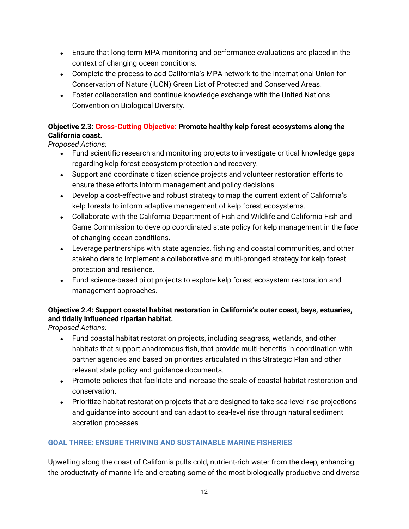- Ensure that long-term MPA monitoring and performance evaluations are placed in the context of changing ocean conditions.
- Complete the process to add California's MPA network to the International Union for Conservation of Nature (IUCN) Green List of Protected and Conserved Areas.
- Foster collaboration and continue knowledge exchange with the United Nations Convention on Biological Diversity.

### **Objective 2.3: Cross-Cutting Objective: Promote healthy kelp forest ecosystems along the California coast.**

*Proposed Actions:*

- Fund scientific research and monitoring projects to investigate critical knowledge gaps regarding kelp forest ecosystem protection and recovery.
- Support and coordinate citizen science projects and volunteer restoration efforts to ensure these efforts inform management and policy decisions.
- Develop a cost-effective and robust strategy to map the current extent of California's kelp forests to inform adaptive management of kelp forest ecosystems.
- Collaborate with the California Department of Fish and Wildlife and California Fish and Game Commission to develop coordinated state policy for kelp management in the face of changing ocean conditions.
- Leverage partnerships with state agencies, fishing and coastal communities, and other stakeholders to implement a collaborative and multi-pronged strategy for kelp forest protection and resilience.
- Fund science-based pilot projects to explore kelp forest ecosystem restoration and management approaches.

## **Objective 2.4: Support coastal habitat restoration in California's outer coast, bays, estuaries, and tidally influenced riparian habitat.**

*Proposed Actions:*

- Fund coastal habitat restoration projects, including seagrass, wetlands, and other habitats that support anadromous fish, that provide multi-benefits in coordination with partner agencies and based on priorities articulated in this Strategic Plan and other relevant state policy and guidance documents.
- Promote policies that facilitate and increase the scale of coastal habitat restoration and conservation.
- Prioritize habitat restoration projects that are designed to take sea-level rise projections and guidance into account and can adapt to sea-level rise through natural sediment accretion processes.

## **GOAL THREE: ENSURE THRIVING AND SUSTAINABLE MARINE FISHERIES**

Upwelling along the coast of California pulls cold, nutrient-rich water from the deep, enhancing the productivity of marine life and creating some of the most biologically productive and diverse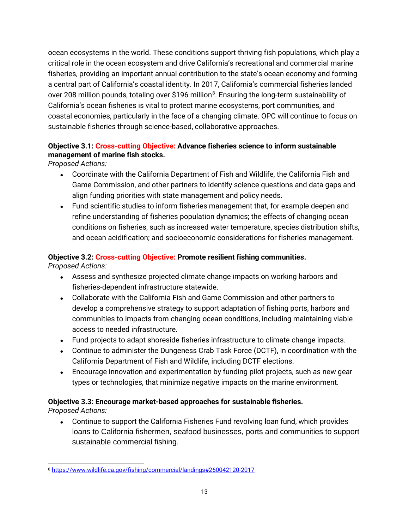ocean ecosystems in the world. These conditions support thriving fish populations, which play a critical role in the ocean ecosystem and drive California's recreational and commercial marine fisheries, providing an important annual contribution to the state's ocean economy and forming a central part of California's coastal identity. In 2017, California's commercial fisheries landed over 208 million pounds, totaling over \$196 million<sup>8</sup>. Ensuring the long-term sustainability of California's ocean fisheries is vital to protect marine ecosystems, port communities, and coastal economies, particularly in the face of a changing climate. OPC will continue to focus on sustainable fisheries through science-based, collaborative approaches.

### **Objective 3.1: Cross-cutting Objective: Advance fisheries science to inform sustainable management of marine fish stocks.**

*Proposed Actions:*

- Coordinate with the California Department of Fish and Wildlife, the California Fish and Game Commission, and other partners to identify science questions and data gaps and align funding priorities with state management and policy needs.
- Fund scientific studies to inform fisheries management that, for example deepen and refine understanding of fisheries population dynamics; the effects of changing ocean conditions on fisheries, such as increased water temperature, species distribution shifts, and ocean acidification; and socioeconomic considerations for fisheries management.

## **Objective 3.2: Cross-cutting Objective: Promote resilient fishing communities.**

*Proposed Actions:*

- Assess and synthesize projected climate change impacts on working harbors and fisheries-dependent infrastructure statewide.
- Collaborate with the California Fish and Game Commission and other partners to develop a comprehensive strategy to support adaptation of fishing ports, harbors and communities to impacts from changing ocean conditions, including maintaining viable access to needed infrastructure.
- Fund projects to adapt shoreside fisheries infrastructure to climate change impacts.
- Continue to administer the Dungeness Crab Task Force (DCTF), in coordination with the California Department of Fish and Wildlife, including DCTF elections.
- Encourage innovation and experimentation by funding pilot projects, such as new gear types or technologies, that minimize negative impacts on the marine environment.

### **Objective 3.3: Encourage market-based approaches for sustainable fisheries.**

*Proposed Actions:*

• Continue to support the California Fisheries Fund revolving loan fund, which provides loans to California fishermen, seafood businesses, ports and communities to support sustainable commercial fishing.

<span id="page-12-0"></span> $\ddot{\phantom{a}}$ <sup>8</sup> <https://www.wildlife.ca.gov/fishing/commercial/landings#260042120-2017>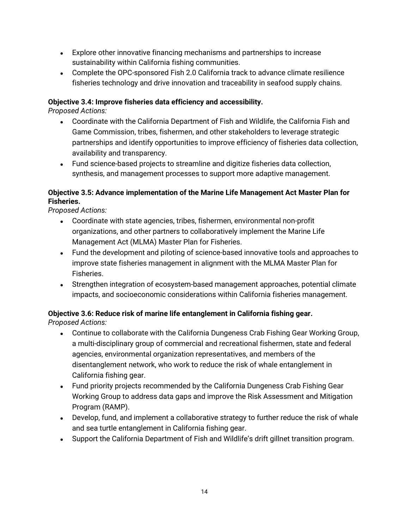- Explore other innovative financing mechanisms and partnerships to increase sustainability within California fishing communities.
- Complete the OPC-sponsored Fish 2.0 California track to advance climate resilience fisheries technology and drive innovation and traceability in seafood supply chains.

### **Objective 3.4: Improve fisheries data efficiency and accessibility.**

*Proposed Actions:*

- Coordinate with the California Department of Fish and Wildlife, the California Fish and Game Commission, tribes, fishermen, and other stakeholders to leverage strategic partnerships and identify opportunities to improve efficiency of fisheries data collection, availability and transparency.
- Fund science-based projects to streamline and digitize fisheries data collection, synthesis, and management processes to support more adaptive management.

### **Objective 3.5: Advance implementation of the Marine Life Management Act Master Plan for Fisheries.**

*Proposed Actions:*

- Coordinate with state agencies, tribes, fishermen, environmental non-profit organizations, and other partners to collaboratively implement the Marine Life Management Act (MLMA) Master Plan for Fisheries.
- Fund the development and piloting of science-based innovative tools and approaches to improve state fisheries management in alignment with the MLMA Master Plan for Fisheries.
- Strengthen integration of ecosystem-based management approaches, potential climate impacts, and socioeconomic considerations within California fisheries management.

### **Objective 3.6: Reduce risk of marine life entanglement in California fishing gear.**

- Continue to collaborate with the California Dungeness Crab Fishing Gear Working Group, a multi-disciplinary group of commercial and recreational fishermen, state and federal agencies, environmental organization representatives, and members of the disentanglement network, who work to reduce the risk of whale entanglement in California fishing gear.
- Fund priority projects recommended by the California Dungeness Crab Fishing Gear Working Group to address data gaps and improve the Risk Assessment and Mitigation Program (RAMP).
- Develop, fund, and implement a collaborative strategy to further reduce the risk of whale and sea turtle entanglement in California fishing gear.
- Support the California Department of Fish and Wildlife's drift gillnet transition program.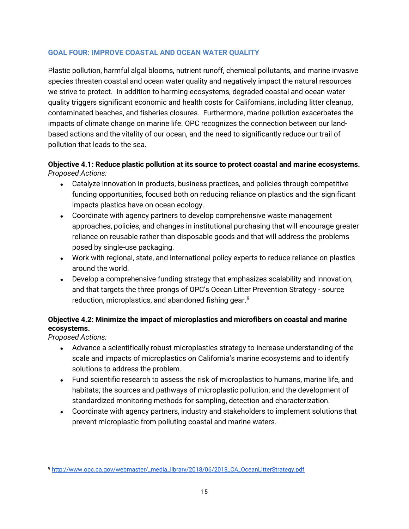#### **GOAL FOUR: IMPROVE COASTAL AND OCEAN WATER QUALITY**

Plastic pollution, harmful algal blooms, nutrient runoff, chemical pollutants, and marine invasive species threaten coastal and ocean water quality and negatively impact the natural resources we strive to protect. In addition to harming ecosystems, degraded coastal and ocean water quality triggers significant economic and health costs for Californians, including litter cleanup, contaminated beaches, and fisheries closures. Furthermore, marine pollution exacerbates the impacts of climate change on marine life. OPC recognizes the connection between our landbased actions and the vitality of our ocean, and the need to significantly reduce our trail of pollution that leads to the sea.

### **Objective 4.1: Reduce plastic pollution at its source to protect coastal and marine ecosystems.** *Proposed Actions:*

- Catalyze innovation in products, business practices, and policies through competitive funding opportunities, focused both on reducing reliance on plastics and the significant impacts plastics have on ocean ecology.
- Coordinate with agency partners to develop comprehensive waste management approaches, policies, and changes in institutional purchasing that will encourage greater reliance on reusable rather than disposable goods and that will address the problems posed by single-use packaging.
- Work with regional, state, and international policy experts to reduce reliance on plastics around the world.
- Develop a comprehensive funding strategy that emphasizes scalability and innovation, and that targets the three prongs of OPC's Ocean Litter Prevention Strategy - source reduction, microplastics, and abandoned fishing gear.<sup>[9](#page-14-0)</sup>

## **Objective 4.2: Minimize the impact of microplastics and microfibers on coastal and marine ecosystems.**

- Advance a scientifically robust microplastics strategy to increase understanding of the scale and impacts of microplastics on California's marine ecosystems and to identify solutions to address the problem.
- Fund scientific research to assess the risk of microplastics to humans, marine life, and habitats; the sources and pathways of microplastic pollution; and the development of standardized monitoring methods for sampling, detection and characterization.
- Coordinate with agency partners, industry and stakeholders to implement solutions that prevent microplastic from polluting coastal and marine waters.

<span id="page-14-0"></span> $\overline{a}$ <sup>9</sup> [http://www.opc.ca.gov/webmaster/\\_media\\_library/2018/06/2018\\_CA\\_OceanLitterStrategy.pdf](http://www.opc.ca.gov/webmaster/_media_library/2018/06/2018_CA_OceanLitterStrategy.pdf)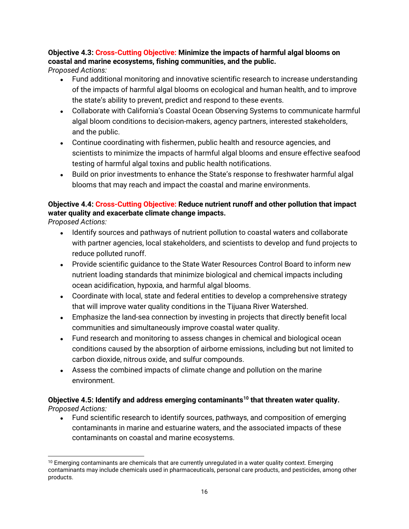### **Objective 4.3: Cross-Cutting Objective: Minimize the impacts of harmful algal blooms on coastal and marine ecosystems, fishing communities, and the public.**

*Proposed Actions:*

- Fund additional monitoring and innovative scientific research to increase understanding of the impacts of harmful algal blooms on ecological and human health, and to improve the state's ability to prevent, predict and respond to these events.
- Collaborate with California's Coastal Ocean Observing Systems to communicate harmful algal bloom conditions to decision-makers, agency partners, interested stakeholders, and the public.
- Continue coordinating with fishermen, public health and resource agencies, and scientists to minimize the impacts of harmful algal blooms and ensure effective seafood testing of harmful algal toxins and public health notifications.
- Build on prior investments to enhance the State's response to freshwater harmful algal blooms that may reach and impact the coastal and marine environments.

## **Objective 4.4: Cross-Cutting Objective: Reduce nutrient runoff and other pollution that impact water quality and exacerbate climate change impacts.**

*Proposed Actions:*

- Identify sources and pathways of nutrient pollution to coastal waters and collaborate with partner agencies, local stakeholders, and scientists to develop and fund projects to reduce polluted runoff.
- Provide scientific quidance to the State Water Resources Control Board to inform new nutrient loading standards that minimize biological and chemical impacts including ocean acidification, hypoxia, and harmful algal blooms.
- Coordinate with local, state and federal entities to develop a comprehensive strategy that will improve water quality conditions in the Tijuana River Watershed.
- Emphasize the land-sea connection by investing in projects that directly benefit local communities and simultaneously improve coastal water quality.
- Fund research and monitoring to assess changes in chemical and biological ocean conditions caused by the absorption of airborne emissions, including but not limited to carbon dioxide, nitrous oxide, and sulfur compounds.
- Assess the combined impacts of climate change and pollution on the marine environment.

### **Objective 4.5: Identify and address emerging contaminants[10](#page-15-0) that threaten water quality.** *Proposed Actions:*

• Fund scientific research to identify sources, pathways, and composition of emerging contaminants in marine and estuarine waters, and the associated impacts of these contaminants on coastal and marine ecosystems.

<span id="page-15-0"></span> $\overline{a}$ <sup>10</sup> Emerging contaminants are chemicals that are currently unregulated in a water quality context. Emerging contaminants may include chemicals used in pharmaceuticals, personal care products, and pesticides, among other products.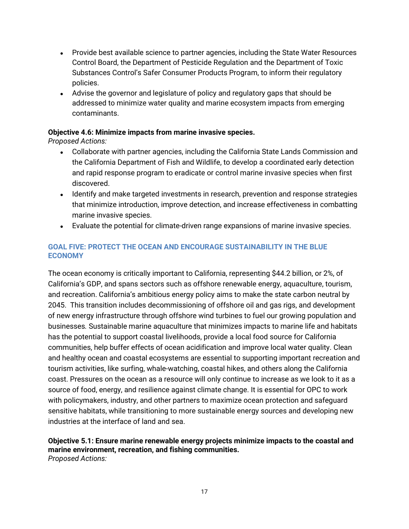- Provide best available science to partner agencies, including the State Water Resources Control Board, the Department of Pesticide Regulation and the Department of Toxic Substances Control's Safer Consumer Products Program, to inform their regulatory policies.
- Advise the governor and legislature of policy and regulatory gaps that should be addressed to minimize water quality and marine ecosystem impacts from emerging contaminants.

#### **Objective 4.6: Minimize impacts from marine invasive species.**

*Proposed Actions:*

- Collaborate with partner agencies, including the California State Lands Commission and the California Department of Fish and Wildlife, to develop a coordinated early detection and rapid response program to eradicate or control marine invasive species when first discovered.
- Identify and make targeted investments in research, prevention and response strategies that minimize introduction, improve detection, and increase effectiveness in combatting marine invasive species.
- Evaluate the potential for climate-driven range expansions of marine invasive species.

### **GOAL FIVE: PROTECT THE OCEAN AND ENCOURAGE SUSTAINABILITY IN THE BLUE ECONOMY**

The ocean economy is critically important to California, representing \$44.2 billion, or 2%, of California's GDP, and spans sectors such as offshore renewable energy, aquaculture, tourism, and recreation. California's ambitious energy policy aims to make the state carbon neutral by 2045. This transition includes decommissioning of offshore oil and gas rigs, and development of new energy infrastructure through offshore wind turbines to fuel our growing population and businesses*.* Sustainable marine aquaculture that minimizes impacts to marine life and habitats has the potential to support coastal livelihoods, provide a local food source for California communities, help buffer effects of ocean acidification and improve local water quality. Clean and healthy ocean and coastal ecosystems are essential to supporting important recreation and tourism activities, like surfing, whale-watching, coastal hikes, and others along the California coast. Pressures on the ocean as a resource will only continue to increase as we look to it as a source of food, energy, and resilience against climate change. It is essential for OPC to work with policymakers, industry, and other partners to maximize ocean protection and safeguard sensitive habitats, while transitioning to more sustainable energy sources and developing new industries at the interface of land and sea.

#### **Objective 5.1: Ensure marine renewable energy projects minimize impacts to the coastal and marine environment, recreation, and fishing communities.** *Proposed Actions:*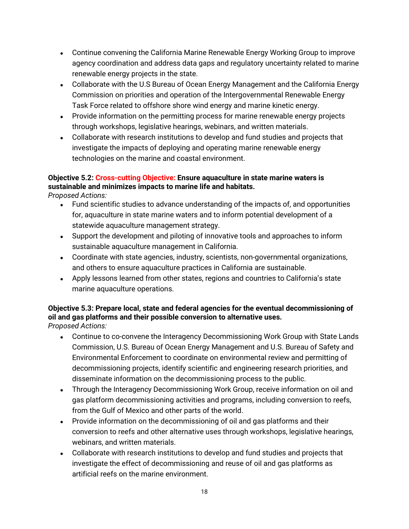- Continue convening the California Marine Renewable Energy Working Group to improve agency coordination and address data gaps and regulatory uncertainty related to marine renewable energy projects in the state.
- Collaborate with the U.S Bureau of Ocean Energy Management and the California Energy Commission on priorities and operation of the Intergovernmental Renewable Energy Task Force related to offshore shore wind energy and marine kinetic energy.
- Provide information on the permitting process for marine renewable energy projects through workshops, legislative hearings, webinars, and written materials.
- Collaborate with research institutions to develop and fund studies and projects that investigate the impacts of deploying and operating marine renewable energy technologies on the marine and coastal environment.

## **Objective 5.2: Cross-cutting Objective: Ensure aquaculture in state marine waters is sustainable and minimizes impacts to marine life and habitats.**

*Proposed Actions:*

- Fund scientific studies to advance understanding of the impacts of, and opportunities for, aquaculture in state marine waters and to inform potential development of a statewide aquaculture management strategy.
- Support the development and piloting of innovative tools and approaches to inform sustainable aquaculture management in California.
- Coordinate with state agencies, industry, scientists, non-governmental organizations, and others to ensure aquaculture practices in California are sustainable.
- Apply lessons learned from other states, regions and countries to California's state marine aquaculture operations.

#### **Objective 5.3: Prepare local, state and federal agencies for the eventual decommissioning of oil and gas platforms and their possible conversion to alternative uses.** *Proposed Actions:*

- Continue to co-convene the Interagency Decommissioning Work Group with State Lands Commission, U.S. Bureau of Ocean Energy Management and U.S. Bureau of Safety and Environmental Enforcement to coordinate on environmental review and permitting of decommissioning projects, identify scientific and engineering research priorities, and disseminate information on the decommissioning process to the public.
- Through the Interagency Decommissioning Work Group, receive information on oil and gas platform decommissioning activities and programs, including conversion to reefs, from the Gulf of Mexico and other parts of the world.
- Provide information on the decommissioning of oil and gas platforms and their conversion to reefs and other alternative uses through workshops, legislative hearings, webinars, and written materials.
- Collaborate with research institutions to develop and fund studies and projects that investigate the effect of decommissioning and reuse of oil and gas platforms as artificial reefs on the marine environment.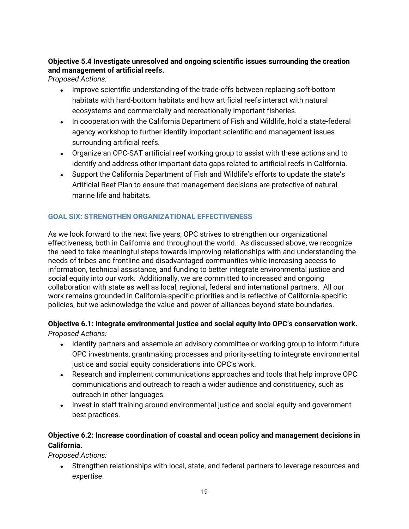### **Objective 5.4 Investigate unresolved and ongoing scientific issues surrounding the creation and management of artificial reefs.**

*Proposed Actions:*

- Improve scientific understanding of the trade-offs between replacing soft-bottom habitats with hard-bottom habitats and how artificial reefs interact with natural ecosystems and commercially and recreationally important fisheries.
- In cooperation with the California Department of Fish and Wildlife, hold a state-federal agency workshop to further identify important scientific and management issues surrounding artificial reefs.
- Organize an OPC-SAT artificial reef working group to assist with these actions and to identify and address other important data gaps related to artificial reefs in California.
- Support the California Department of Fish and Wildlife's efforts to update the state's Artificial Reef Plan to ensure that management decisions are protective of natural marine life and habitats.

### **GOAL SIX: STRENGTHEN ORGANIZATIONAL EFFECTIVENESS**

As we look forward to the next five years, OPC strives to strengthen our organizational effectiveness, both in California and throughout the world. As discussed above, we recognize the need to take meaningful steps towards improving relationships with and understanding the needs of tribes and frontline and disadvantaged communities while increasing access to information, technical assistance, and funding to better integrate environmental justice and social equity into our work. Additionally, we are committed to increased and ongoing collaboration with state as well as local, regional, federal and international partners. All our work remains grounded in California-specific priorities and is reflective of California-specific policies, but we acknowledge the value and power of alliances beyond state boundaries.

# **Objective 6.1: Integrate environmental justice and social equity into OPC's conservation work.**

*Proposed Actions:*

- Identify partners and assemble an advisory committee or working group to inform future OPC investments, grantmaking processes and priority-setting to integrate environmental justice and social equity considerations into OPC's work.
- Research and implement communications approaches and tools that help improve OPC communications and outreach to reach a wider audience and constituency, such as outreach in other languages.
- Invest in staff training around environmental justice and social equity and government best practices.

### **Objective 6.2: Increase coordination of coastal and ocean policy and management decisions in California.**

*Proposed Actions:*

• Strengthen relationships with local, state, and federal partners to leverage resources and expertise.